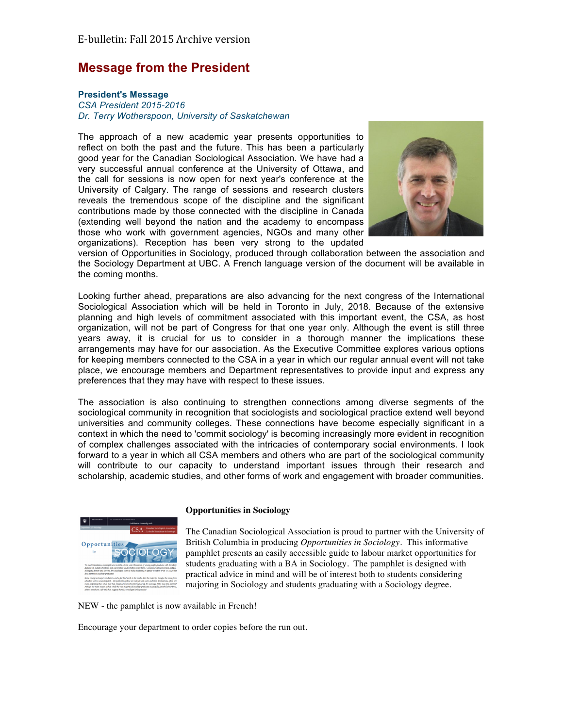# **Message from the President**

### **President's Message**

*CSA President 2015-2016 Dr. Terry Wotherspoon, University of Saskatchewan*

The approach of a new academic year presents opportunities to reflect on both the past and the future. This has been a particularly good year for the Canadian Sociological Association. We have had a very successful annual conference at the University of Ottawa, and the call for sessions is now open for next year's conference at the University of Calgary. The range of sessions and research clusters reveals the tremendous scope of the discipline and the significant contributions made by those connected with the discipline in Canada (extending well beyond the nation and the academy to encompass those who work with government agencies, NGOs and many other organizations). Reception has been very strong to the updated



version of Opportunities in Sociology, produced through collaboration between the association and the Sociology Department at UBC. A French language version of the document will be available in the coming months.

Looking further ahead, preparations are also advancing for the next congress of the International Sociological Association which will be held in Toronto in July, 2018. Because of the extensive planning and high levels of commitment associated with this important event, the CSA, as host organization, will not be part of Congress for that one year only. Although the event is still three years away, it is crucial for us to consider in a thorough manner the implications these arrangements may have for our association. As the Executive Committee explores various options for keeping members connected to the CSA in a year in which our regular annual event will not take place, we encourage members and Department representatives to provide input and express any preferences that they may have with respect to these issues.

The association is also continuing to strengthen connections among diverse segments of the sociological community in recognition that sociologists and sociological practice extend well beyond universities and community colleges. These connections have become especially significant in a context in which the need to 'commit sociology' is becoming increasingly more evident in recognition of complex challenges associated with the intricacies of contemporary social environments. I look forward to a year in which all CSA members and others who are part of the sociological community will contribute to our capacity to understand important issues through their research and scholarship, academic studies, and other forms of work and engagement with broader communities.



#### **Opportunities in Sociology**

The Canadian Sociological Association is proud to partner with the University of British Columbia in producing *Opportunities in Sociology.* This informative pamphlet presents an easily accessible guide to labour market opportunities for students graduating with a BA in Sociology. The pamphlet is designed with practical advice in mind and will be of interest both to students considering majoring in Sociology and students graduating with a Sociology degree.

NEW - the pamphlet is now available in French!

Encourage your department to order copies before the run out.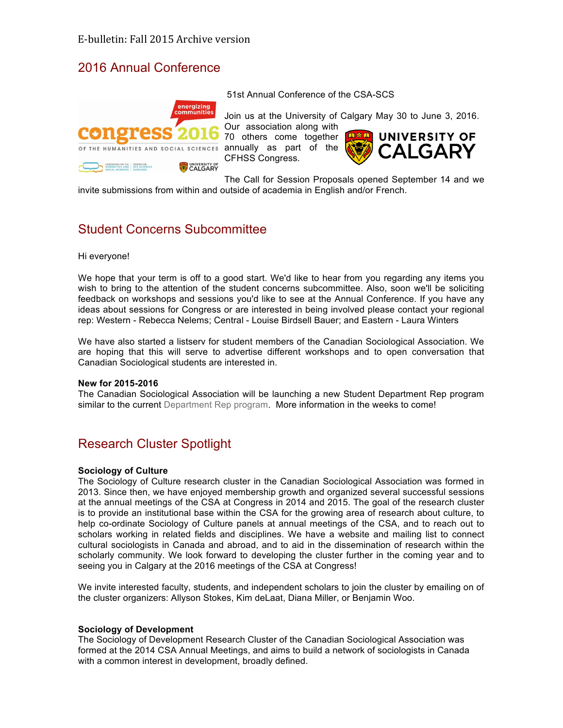# 2016 Annual Conference



51st Annual Conference of the CSA-SCS

Join us at the University of Calgary May 30 to June 3, 2016. Our association along with

70 others come together annually as part of the CFHSS Congress.



The Call for Session Proposals opened September 14 and we invite submissions from within and outside of academia in English and/or French.

# Student Concerns Subcommittee

Hi everyone!

We hope that your term is off to a good start. We'd like to hear from you regarding any items you wish to bring to the attention of the student concerns subcommittee. Also, soon we'll be soliciting feedback on workshops and sessions you'd like to see at the Annual Conference. If you have any ideas about sessions for Congress or are interested in being involved please contact your regional rep: Western - Rebecca Nelems; Central - Louise Birdsell Bauer; and Eastern - Laura Winters

We have also started a listserv for student members of the Canadian Sociological Association. We are hoping that this will serve to advertise different workshops and to open conversation that Canadian Sociological students are interested in.

#### **New for 2015-2016**

The Canadian Sociological Association will be launching a new Student Department Rep program similar to the current Department Rep program. More information in the weeks to come!

# Research Cluster Spotlight

#### **Sociology of Culture**

The Sociology of Culture research cluster in the Canadian Sociological Association was formed in 2013. Since then, we have enjoyed membership growth and organized several successful sessions at the annual meetings of the CSA at Congress in 2014 and 2015. The goal of the research cluster is to provide an institutional base within the CSA for the growing area of research about culture, to help co-ordinate Sociology of Culture panels at annual meetings of the CSA, and to reach out to scholars working in related fields and disciplines. We have a website and mailing list to connect cultural sociologists in Canada and abroad, and to aid in the dissemination of research within the scholarly community. We look forward to developing the cluster further in the coming year and to seeing you in Calgary at the 2016 meetings of the CSA at Congress!

We invite interested faculty, students, and independent scholars to join the cluster by emailing on of the cluster organizers: Allyson Stokes, Kim deLaat, Diana Miller, or Benjamin Woo.

#### **Sociology of Development**

The Sociology of Development Research Cluster of the Canadian Sociological Association was formed at the 2014 CSA Annual Meetings, and aims to build a network of sociologists in Canada with a common interest in development, broadly defined.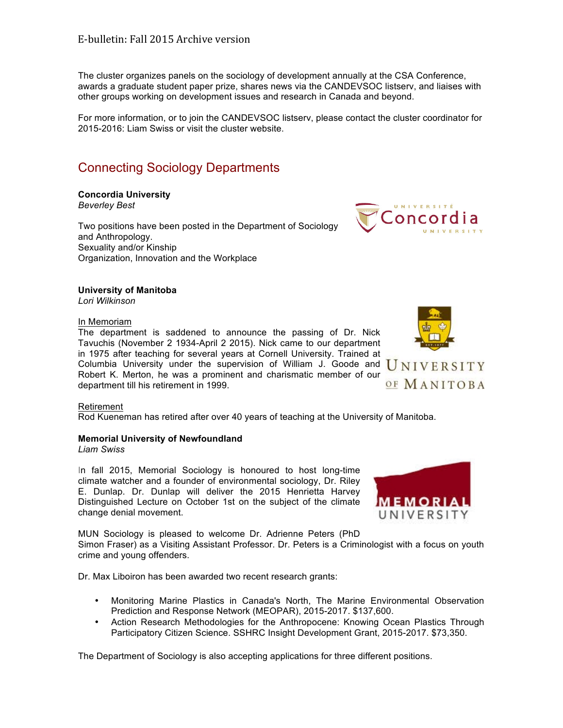The cluster organizes panels on the sociology of development annually at the CSA Conference, awards a graduate student paper prize, shares news via the CANDEVSOC listserv, and liaises with other groups working on development issues and research in Canada and beyond.

For more information, or to join the CANDEVSOC listserv, please contact the cluster coordinator for 2015-2016: Liam Swiss or visit the cluster website.

# Connecting Sociology Departments

#### **Concordia University** *Beverley Best*

Two positions have been posted in the Department of Sociology and Anthropology. Sexuality and/or Kinship Organization, Innovation and the Workplace



#### **University of Manitoba** *Lori Wilkinson*

#### In Memoriam

The department is saddened to announce the passing of Dr. Nick Tavuchis (November 2 1934-April 2 2015). Nick came to our department in 1975 after teaching for several years at Cornell University. Trained at Columbia University under the supervision of William J. Goode and  $\overline{U}\text{NIVE}$ RSITY Robert K. Merton, he was a prominent and charismatic member of our department till his retirement in 1999.

OF MANITOBA

#### Retirement

Rod Kueneman has retired after over 40 years of teaching at the University of Manitoba.

## **Memorial University of Newfoundland**

*Liam Swiss*

In fall 2015, Memorial Sociology is honoured to host long-time climate watcher and a founder of environmental sociology, Dr. Riley E. Dunlap. Dr. Dunlap will deliver the 2015 Henrietta Harvey Distinguished Lecture on October 1st on the subject of the climate change denial movement.

MUN Sociology is pleased to welcome Dr. Adrienne Peters (PhD Simon Fraser) as a Visiting Assistant Professor. Dr. Peters is a Criminologist with a focus on youth crime and young offenders.

Dr. Max Liboiron has been awarded two recent research grants:

- Monitoring Marine Plastics in Canada's North, The Marine Environmental Observation Prediction and Response Network (MEOPAR), 2015-2017. \$137,600.
- Action Research Methodologies for the Anthropocene: Knowing Ocean Plastics Through Participatory Citizen Science. SSHRC Insight Development Grant, 2015-2017. \$73,350.

The Department of Sociology is also accepting applications for three different positions.